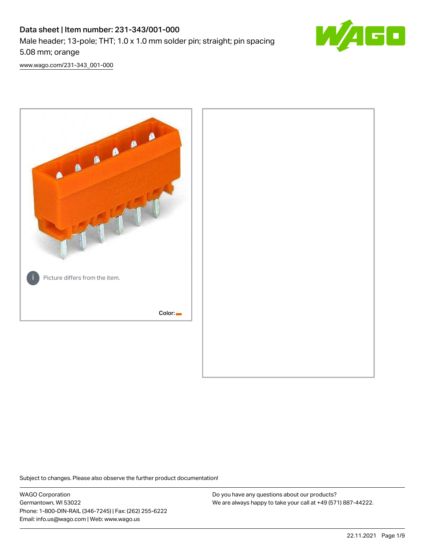# Data sheet | Item number: 231-343/001-000 Male header; 13-pole; THT; 1.0 x 1.0 mm solder pin; straight; pin spacing 5.08 mm; orange



[www.wago.com/231-343\\_001-000](http://www.wago.com/231-343_001-000)



Subject to changes. Please also observe the further product documentation!

WAGO Corporation Germantown, WI 53022 Phone: 1-800-DIN-RAIL (346-7245) | Fax: (262) 255-6222 Email: info.us@wago.com | Web: www.wago.us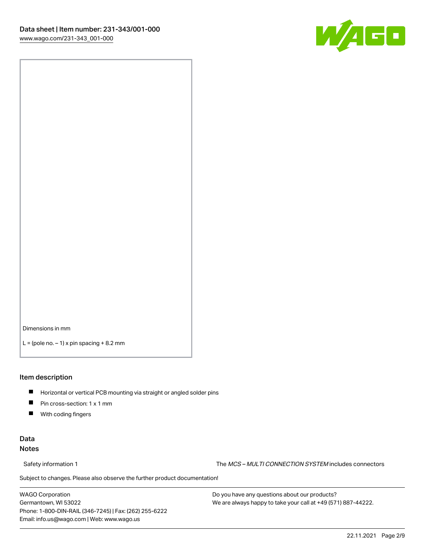

Dimensions in mm

 $L =$  (pole no.  $-1$ ) x pin spacing  $+8.2$  mm

#### Item description

- **Horizontal or vertical PCB mounting via straight or angled solder pins**
- **Pin cross-section: 1 x 1 mm**
- $\blacksquare$ With coding fingers

### Data Notes

Safety information 1 The MCS – MULTI CONNECTION SYSTEM includes connectors

Subject to changes. Please also observe the further product documentation!  $\nu$ 

WAGO Corporation Germantown, WI 53022 Phone: 1-800-DIN-RAIL (346-7245) | Fax: (262) 255-6222 Email: info.us@wago.com | Web: www.wago.us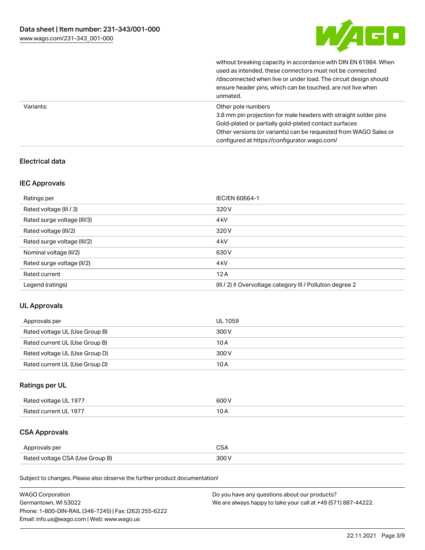

without breaking capacity in accordance with DIN EN 61984. When

|           | used as intended, these connectors must not be connected<br>/disconnected when live or under load. The circuit design should<br>ensure header pins, which can be touched, are not live when<br>unmated.                                                             |
|-----------|---------------------------------------------------------------------------------------------------------------------------------------------------------------------------------------------------------------------------------------------------------------------|
| Variants: | Other pole numbers<br>3.8 mm pin projection for male headers with straight solder pins<br>Gold-plated or partially gold-plated contact surfaces<br>Other versions (or variants) can be requested from WAGO Sales or<br>configured at https://configurator.wago.com/ |

### Electrical data

### IEC Approvals

| Ratings per                 | IEC/EN 60664-1                                            |
|-----------------------------|-----------------------------------------------------------|
| Rated voltage (III / 3)     | 320 V                                                     |
| Rated surge voltage (III/3) | 4 <sub>k</sub> V                                          |
| Rated voltage (III/2)       | 320 V                                                     |
| Rated surge voltage (III/2) | 4 <sub>k</sub> V                                          |
| Nominal voltage (II/2)      | 630 V                                                     |
| Rated surge voltage (II/2)  | 4 <sub>k</sub> V                                          |
| Rated current               | 12A                                                       |
| Legend (ratings)            | (III / 2) ≙ Overvoltage category III / Pollution degree 2 |

### UL Approvals

| Approvals per                  | UL 1059 |
|--------------------------------|---------|
| Rated voltage UL (Use Group B) | 300 V   |
| Rated current UL (Use Group B) | 10 A    |
| Rated voltage UL (Use Group D) | 300 V   |
| Rated current UL (Use Group D) | 10A     |

### Ratings per UL

| Rated voltage UL 1977 | 600 V |
|-----------------------|-------|
| Rated current UL 1977 |       |

# CSA Approvals

| Approvals per                   | ~~    |
|---------------------------------|-------|
| Rated voltage CSA (Use Group B) | 3UU 1 |

Subject to changes. Please also observe the further product documentation!

| <b>WAGO Corporation</b>                                | Do you have any questions about our products?                 |
|--------------------------------------------------------|---------------------------------------------------------------|
| Germantown, WI 53022                                   | We are always happy to take your call at +49 (571) 887-44222. |
| Phone: 1-800-DIN-RAIL (346-7245)   Fax: (262) 255-6222 |                                                               |
| Email: info.us@wago.com   Web: www.wago.us             |                                                               |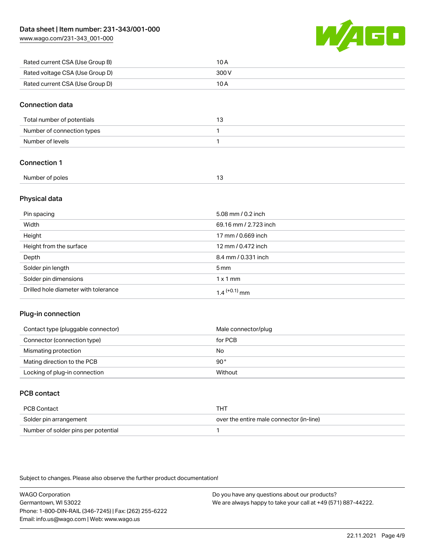[www.wago.com/231-343\\_001-000](http://www.wago.com/231-343_001-000)



| Rated current CSA (Use Group B) | 10 A  |
|---------------------------------|-------|
| Rated voltage CSA (Use Group D) | 300 V |
| Rated current CSA (Use Group D) | 10 A  |

### Connection data

| Total number of potentials |  |
|----------------------------|--|
| Number of connection types |  |
| Number of levels           |  |

### Connection 1

| Number of poles |  |
|-----------------|--|
|                 |  |

### Physical data

| Pin spacing                          | 5.08 mm / 0.2 inch    |
|--------------------------------------|-----------------------|
| Width                                | 69.16 mm / 2.723 inch |
| Height                               | 17 mm / 0.669 inch    |
| Height from the surface              | 12 mm / 0.472 inch    |
| Depth                                | 8.4 mm / 0.331 inch   |
| Solder pin length                    | $5 \,\mathrm{mm}$     |
| Solder pin dimensions                | $1 \times 1$ mm       |
| Drilled hole diameter with tolerance | $1.4$ $(+0.1)$ mm     |

### Plug-in connection

| Contact type (pluggable connector) | Male connector/plug |
|------------------------------------|---------------------|
| Connector (connection type)        | for PCB             |
| Mismating protection               | No                  |
| Mating direction to the PCB        | 90°                 |
| Locking of plug-in connection      | Without             |

### PCB contact

| PCB Contact                         | THT                                      |
|-------------------------------------|------------------------------------------|
| Solder pin arrangement              | over the entire male connector (in-line) |
| Number of solder pins per potential |                                          |

Subject to changes. Please also observe the further product documentation!

WAGO Corporation Germantown, WI 53022 Phone: 1-800-DIN-RAIL (346-7245) | Fax: (262) 255-6222 Email: info.us@wago.com | Web: www.wago.us Do you have any questions about our products? We are always happy to take your call at +49 (571) 887-44222.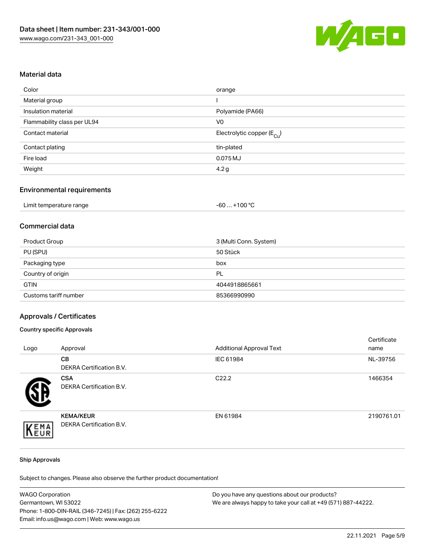

### Material data

| Color                       | orange                                 |
|-----------------------------|----------------------------------------|
| Material group              |                                        |
| Insulation material         | Polyamide (PA66)                       |
| Flammability class per UL94 | V <sub>0</sub>                         |
| Contact material            | Electrolytic copper (E <sub>Cu</sub> ) |
| Contact plating             | tin-plated                             |
| Fire load                   | 0.075 MJ                               |
| Weight                      | 4.2 <sub>g</sub>                       |

### Environmental requirements

| Limit temperature range | $+100 °C$<br>-60 |
|-------------------------|------------------|
|-------------------------|------------------|

### Commercial data

| Product Group         | 3 (Multi Conn. System) |
|-----------------------|------------------------|
| PU (SPU)              | 50 Stück               |
| Packaging type        | box                    |
| Country of origin     | PL                     |
| <b>GTIN</b>           | 4044918865661          |
| Customs tariff number | 85366990990            |

#### Approvals / Certificates

#### Country specific Approvals

| Logo | Approval                                     | <b>Additional Approval Text</b> | Certificate<br>name |
|------|----------------------------------------------|---------------------------------|---------------------|
|      | <b>CB</b><br>DEKRA Certification B.V.        | IEC 61984                       | NL-39756            |
|      | <b>CSA</b><br>DEKRA Certification B.V.       | C <sub>22.2</sub>               | 1466354             |
| EMA  | <b>KEMA/KEUR</b><br>DEKRA Certification B.V. | EN 61984                        | 2190761.01          |

#### Ship Approvals

Subject to changes. Please also observe the further product documentation!

| <b>WAGO Corporation</b>                                | Do you have any questions about our products?                 |
|--------------------------------------------------------|---------------------------------------------------------------|
| Germantown, WI 53022                                   | We are always happy to take your call at +49 (571) 887-44222. |
| Phone: 1-800-DIN-RAIL (346-7245)   Fax: (262) 255-6222 |                                                               |
| Email: info.us@wago.com   Web: www.wago.us             |                                                               |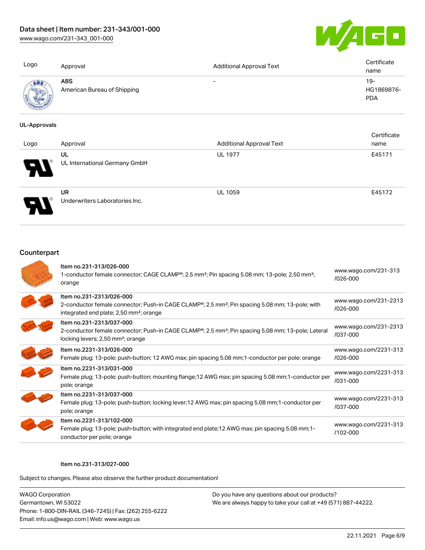### Data sheet | Item number: 231-343/001-000

[www.wago.com/231-343\\_001-000](http://www.wago.com/231-343_001-000)



| Logo | Approval                           | <b>Additional Approval Text</b> | Certificate<br>name               |
|------|------------------------------------|---------------------------------|-----------------------------------|
| ABS  | ABS<br>American Bureau of Shipping | $\overline{\phantom{0}}$        | $19-$<br>HG1869876-<br><b>PDA</b> |

#### UL-Approvals

| Logo | Approval                                    | <b>Additional Approval Text</b> | Certificate<br>name |
|------|---------------------------------------------|---------------------------------|---------------------|
| en T | UL<br>UL International Germany GmbH         | <b>UL 1977</b>                  | E45171              |
|      | <b>UR</b><br>Underwriters Laboratories Inc. | <b>UL 1059</b>                  | E45172              |

### **Counterpart**

| Item no.231-313/026-000<br>1-conductor female connector; CAGE CLAMP®; 2.5 mm <sup>2</sup> ; Pin spacing 5.08 mm; 13-pole; 2,50 mm <sup>2</sup> ;<br>orange                                                  | www.wago.com/231-313<br>$/026 - 000$  |
|-------------------------------------------------------------------------------------------------------------------------------------------------------------------------------------------------------------|---------------------------------------|
| Item no.231-2313/026-000<br>2-conductor female connector; Push-in CAGE CLAMP <sup>®</sup> ; 2.5 mm <sup>2</sup> ; Pin spacing 5.08 mm; 13-pole; with<br>integrated end plate; 2,50 mm <sup>2</sup> ; orange | www.wago.com/231-2313<br>$/026 - 000$ |
| Item no.231-2313/037-000<br>2-conductor female connector; Push-in CAGE CLAMP <sup>®</sup> ; 2.5 mm <sup>2</sup> ; Pin spacing 5.08 mm; 13-pole; Lateral<br>locking levers; 2,50 mm <sup>2</sup> ; orange    | www.wago.com/231-2313<br>/037-000     |
| Item no.2231-313/026-000<br>Female plug; 13-pole; push-button; 12 AWG max; pin spacing 5.08 mm; 1-conductor per pole; orange                                                                                | www.wago.com/2231-313<br>$/026 - 000$ |
| Item no.2231-313/031-000<br>Female plug; 13-pole; push-button; mounting flange; 12 AWG max; pin spacing 5.08 mm; 1-conductor per<br>pole; orange                                                            | www.wago.com/2231-313<br>/031-000     |
| Item no.2231-313/037-000<br>Female plug; 13-pole; push-button; locking lever; 12 AWG max; pin spacing 5.08 mm; 1-conductor per<br>pole; orange                                                              | www.wago.com/2231-313<br>/037-000     |
| Item no.2231-313/102-000<br>Female plug; 13-pole; push-button; with integrated end plate; 12 AWG max; pin spacing 5.08 mm; 1-<br>conductor per pole; orange                                                 | www.wago.com/2231-313<br>$/102 - 000$ |

#### Item no.231-313/027-000

Subject to changes. Please also observe the further product documentation!

WAGO Corporation Germantown, WI 53022 Phone: 1-800-DIN-RAIL (346-7245) | Fax: (262) 255-6222 Email: info.us@wago.com | Web: www.wago.us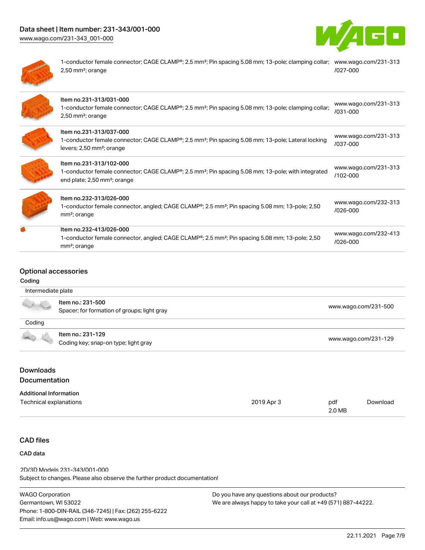# Data sheet | Item number: 231-343/001-000

[www.wago.com/231-343\\_001-000](http://www.wago.com/231-343_001-000)





1-conductor female connector; CAGE CLAMP®; 2.5 mm²; Pin spacing 5.08 mm; 13-pole; clamping collar; [www.wago.com/231-313](https://www.wago.com/231-313/027-000) 2,50 mm²; orange [/027-000](https://www.wago.com/231-313/027-000)

| Item no.231-313/031-000<br>1-conductor female connector; CAGE CLAMP <sup>®</sup> ; 2.5 mm <sup>2</sup> ; Pin spacing 5.08 mm; 13-pole; clamping collar;<br>$2,50$ mm <sup>2</sup> ; orange         | www.wago.com/231-313<br>/031-000 |
|----------------------------------------------------------------------------------------------------------------------------------------------------------------------------------------------------|----------------------------------|
| Item no.231-313/037-000<br>1-conductor female connector; CAGE CLAMP <sup>®</sup> ; 2.5 mm <sup>2</sup> ; Pin spacing 5.08 mm; 13-pole; Lateral locking<br>levers; 2,50 mm <sup>2</sup> ; orange    | www.wago.com/231-313<br>/037-000 |
| Item no.231-313/102-000<br>1-conductor female connector; CAGE CLAMP <sup>®</sup> ; 2.5 mm <sup>2</sup> ; Pin spacing 5.08 mm; 13-pole; with integrated<br>end plate; 2,50 mm <sup>2</sup> ; orange | www.wago.com/231-313<br>/102-000 |
| Item no.232-313/026-000<br>1-conductor female connector, angled; CAGE CLAMP <sup>®</sup> ; 2.5 mm <sup>2</sup> ; Pin spacing 5.08 mm; 13-pole; 2,50<br>mm <sup>2</sup> ; orange                    | www.wago.com/232-313<br>/026-000 |
| Item no.232-413/026-000<br>1-conductor female connector, angled; CAGE CLAMP <sup>®</sup> ; 2.5 mm <sup>2</sup> ; Pin spacing 5.08 mm; 13-pole; 2,50<br>mm <sup>2</sup> ; orange                    | www.wago.com/232-413<br>/026-000 |

### Optional accessories

#### Coding

|        | Item no.: 231-500<br>Spacer; for formation of groups; light gray | www.wago.com/231-500 |
|--------|------------------------------------------------------------------|----------------------|
| Coding |                                                                  |                      |
|        | Item no.: 231-129                                                |                      |
|        | Coding key; snap-on type; light gray                             | www.wago.com/231-129 |

### Downloads Documentation

| <b>Additional Information</b> |            |        |          |
|-------------------------------|------------|--------|----------|
| Technical explanations        | 2019 Apr 3 | pdf    | Download |
|                               |            | 2.0 MB |          |

### CAD files

### CAD data

Subject to changes. Please also observe the further product documentation! 2D/3D Models 231-343/001-000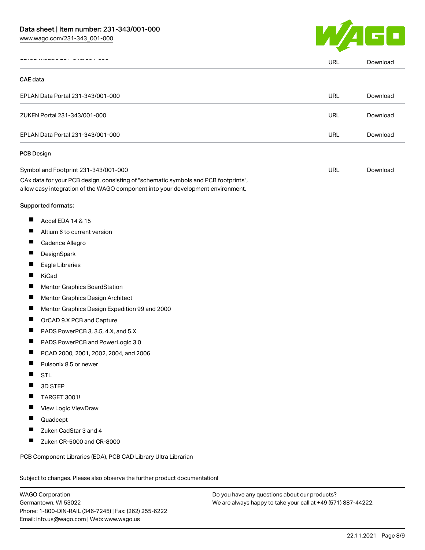

|                                   |                                                                                                                                                                                                                | <b>URL</b> | Download |
|-----------------------------------|----------------------------------------------------------------------------------------------------------------------------------------------------------------------------------------------------------------|------------|----------|
| <b>CAE</b> data                   |                                                                                                                                                                                                                |            |          |
|                                   | EPLAN Data Portal 231-343/001-000                                                                                                                                                                              | URL        | Download |
|                                   | ZUKEN Portal 231-343/001-000                                                                                                                                                                                   | URL        | Download |
| EPLAN Data Portal 231-343/001-000 |                                                                                                                                                                                                                | <b>URL</b> | Download |
| <b>PCB Design</b>                 |                                                                                                                                                                                                                |            |          |
|                                   | Symbol and Footprint 231-343/001-000<br>CAx data for your PCB design, consisting of "schematic symbols and PCB footprints",<br>allow easy integration of the WAGO component into your development environment. | URL        | Download |
|                                   | <b>Supported formats:</b>                                                                                                                                                                                      |            |          |
| ш                                 | Accel EDA 14 & 15                                                                                                                                                                                              |            |          |
| ш                                 | Altium 6 to current version                                                                                                                                                                                    |            |          |
| Ш                                 | Cadence Allegro                                                                                                                                                                                                |            |          |
| Ш                                 | DesignSpark                                                                                                                                                                                                    |            |          |
| L                                 | Eagle Libraries                                                                                                                                                                                                |            |          |
| Ш                                 | KiCad                                                                                                                                                                                                          |            |          |
| Ш                                 | Mentor Graphics BoardStation                                                                                                                                                                                   |            |          |
| $\overline{\phantom{a}}$          | Mentor Graphics Design Architect                                                                                                                                                                               |            |          |
| ш                                 | Mentor Graphics Design Expedition 99 and 2000                                                                                                                                                                  |            |          |
| Ш                                 | OrCAD 9.X PCB and Capture                                                                                                                                                                                      |            |          |
| −                                 | PADS PowerPCB 3, 3.5, 4.X, and 5.X                                                                                                                                                                             |            |          |
| Ш                                 | PADS PowerPCB and PowerLogic 3.0                                                                                                                                                                               |            |          |
| ш                                 | PCAD 2000, 2001, 2002, 2004, and 2006                                                                                                                                                                          |            |          |
| ш                                 | Pulsonix 8.5 or newer                                                                                                                                                                                          |            |          |
|                                   | <b>STL</b>                                                                                                                                                                                                     |            |          |
|                                   | 3D STEP                                                                                                                                                                                                        |            |          |
|                                   | TARGET 3001!                                                                                                                                                                                                   |            |          |
| ш                                 | View Logic ViewDraw                                                                                                                                                                                            |            |          |
|                                   | Quadcept                                                                                                                                                                                                       |            |          |
|                                   | Zuken CadStar 3 and 4                                                                                                                                                                                          |            |          |
| ш                                 | Zuken CR-5000 and CR-8000                                                                                                                                                                                      |            |          |
|                                   | PCB Component Libraries (EDA), PCB CAD Library Ultra Librarian                                                                                                                                                 |            |          |

WAGO Corporation Germantown, WI 53022 Phone: 1-800-DIN-RAIL (346-7245) | Fax: (262) 255-6222 Email: info.us@wago.com | Web: www.wago.us